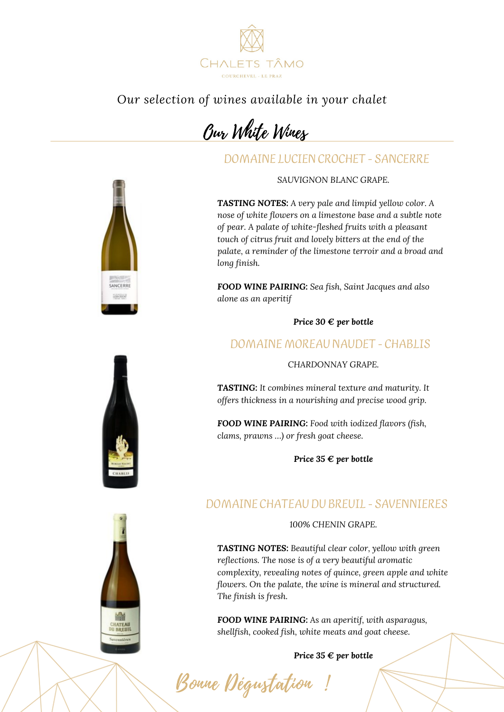

*Our selection of wines available in your chalet*

Our White Wines

DOMAINE LUCIEN CROCHET - SANCERRE

*SAUVIGNON BLANC GRAPE.*

*TASTING NOTES: A very pale and limpid yellow color. A nose of white flowers on a limestone base and a subtle note of pear. A palate of white-fleshed fruits with a pleasant touch of citrus fruit and lovely bitters at the end of the palate, a reminder of the limestone terroir and a broad and long finish.*

*FOOD WINE PAIRING: Sea fish, Saint Jacques and also alone as an aperitif*

*Price 30 € per bottle*

## DOMAINE MOREAU NAUDET - CHABLIS

*CHARDONNAY GRAPE.*

*TASTING: It combines mineral texture and maturity. It offers thickness in a nourishing and precise wood grip.*

*FOOD WINE PAIRING: Food with iodized flavors (fish, clams, prawns …) or fresh goat cheese.*

*Price 35 € per bottle*

## DOMAINE CHATEAU DU BREUIL - SAVENNIERES

*100% CHENIN GRAPE.*

*TASTING NOTES: Beautiful clear color, yellow with green reflections. The nose is of a very beautiful aromatic complexity, revealing notes of quince, green apple and white flowers. On the palate, the wine is mineral and structured. The finish is fresh.*

*FOOD WINE PAIRING: As an aperitif, with asparagus, shellfish, cooked fish, white meats and goat cheese.*

Bonne Dégustation

*Price 35 € per bottle*

SANCERRE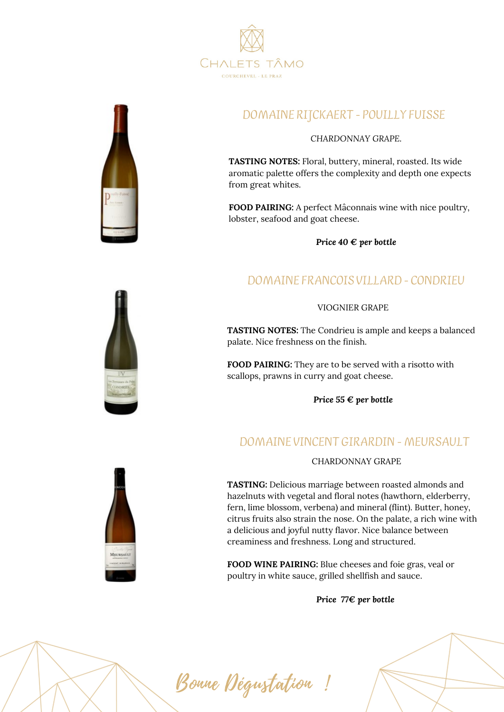



# DOMAINE RIJCKAERT - POUILLY FUISSE

#### *CHARDONNAY GRAPE.*

**TASTING NOTES:** Floral, buttery, mineral, roasted. Its wide aromatic palette offers the complexity and depth one expects from great whites.

**FOOD PAIRING:** A perfect Mâconnais wine with nice poultry, lobster, seafood and goat cheese.

*Price 40 € per bottle*

#### DOMAINE FRANCOIS VILLARD - CONDRIEU

#### VIOGNIER GRAPE

**TASTING NOTES:** The Condrieu is ample and keeps a balanced palate. Nice freshness on the finish.

**FOOD PAIRING:** They are to be served with a risotto with scallops, prawns in curry and goat cheese.

*Price 55 € per bottle*

## DOMAINE VINCENT GIRARDIN - MEURSAULT

CHARDONNAY GRAPE

**TASTING:** Delicious marriage between roasted almonds and hazelnuts with vegetal and floral notes (hawthorn, elderberry, fern, lime blossom, verbena) and mineral (flint). Butter, honey, citrus fruits also strain the nose. On the palate, a rich wine with a delicious and joyful nutty flavor. Nice balance between creaminess and freshness. Long and structured.

**FOOD WINE PAIRING:** Blue cheeses and foie gras, veal or poultry in white sauce, grilled shellfish and sauce.

*Price 77€ per bottle*



Bonne Dégustation !

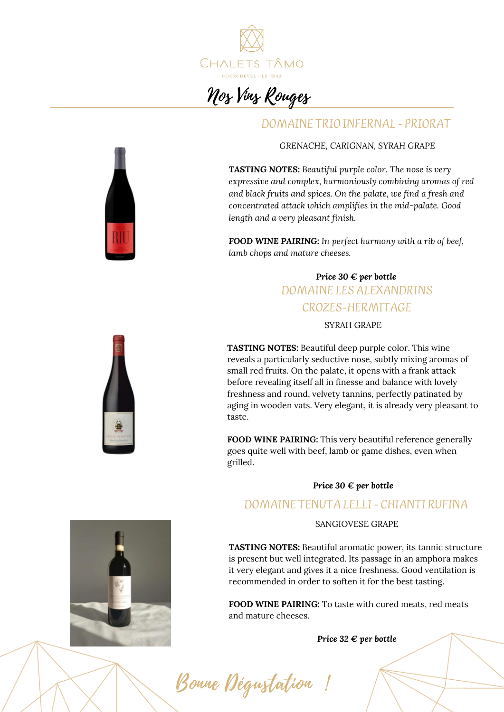

# Nos Vins Rouges

#### DOMAINE TRIO INFERNAL - PRIORAT



*TASTING NOTES: Beautiful purple color. The nose is very expressive and complex, harmoniously combining aromas of red and black fruits and spices. On the palate, we find a fresh and concentrated attack which amplifies in the mid-palate. Good length and a very pleasant finish.*

*FOOD WINE PAIRING: In perfect harmony with a rib of beef, lamb chops and mature cheeses.*

# *Price 30 € per bottle* DOMAINE LESALEXANDRINS CROZES-HERMITAGE

#### SYRAH GRAPE

**TASTING NOTES:** Beautiful deep purple color. This wine reveals a particularly seductive nose, subtly mixing aromas of small red fruits. On the palate, it opens with a frank attack before revealing itself all in finesse and balance with lovely freshness and round, velvety tannins, perfectly patinated by aging in wooden vats. Very elegant, it is already very pleasant to taste.

**FOOD WINE PAIRING:** This very beautiful reference generally goes quite well with beef, lamb or game dishes, even when grilled.

#### *Price 30 € per bottle*

#### DOMAINE TENUTALELLI- CHIANTI RUFINA

#### SANGIOVESE GRAPE

**TASTING NOTES:** Beautiful aromatic power, its tannic structure is present but well integrated. Its passage in an amphora makes it very elegant and gives it a nice freshness. Good ventilation is recommended in order to soften it for the best tasting.

**FOOD WINE PAIRING:** To taste with cured meats, red meats and mature cheeses.

*Price 32 € per bottle*





Bonne Dégustation !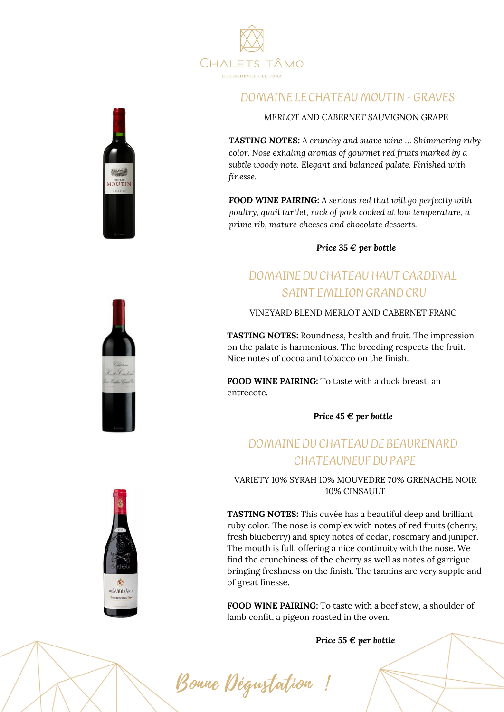



#### DOMAINE LE CHATEAU MOUTIN- GRAVES

*MERLOT AND CABERNET SAUVIGNON GRAPE*

*TASTING NOTES: A crunchy and suave wine … Shimmering ruby color. Nose exhaling aromas of gourmet red fruits marked by a subtle woody note. Elegant and balanced palate. Finished with finesse.*

*FOOD WINE PAIRING: A serious red that will go perfectly with poultry, quail tartlet, rack of pork cooked at low temperature, a prime rib, mature cheeses and chocolate desserts.*

*Price 35 € per bottle*

# DOMAINEDU CHATEAUHAUT CARDINAL SAINT EMILIONGRANDCRU

VINEYARD BLEND MERLOT AND CABERNET FRANC

**TASTING NOTES:** Roundness, health and fruit. The impression on the palate is harmonious. The breeding respects the fruit. Nice notes of cocoa and tobacco on the finish.

**FOOD WINE PAIRING:** To taste with a duck breast, an entrecote.

*Price 45 € per bottle*

# DOMAINEDU CHATEAUDE BEAURENARD CHATEAUNEUF DU PAPE

VARIETY 10% SYRAH 10% MOUVEDRE 70% GRENACHE NOIR 10% CINSAULT

**TASTING NOTES:** This cuvée has a beautiful deep and brilliant ruby color. The nose is complex with notes of red fruits (cherry, fresh blueberry) and spicy notes of cedar, rosemary and juniper. The mouth is full, offering a nice continuity with the nose. We find the crunchiness of the cherry as well as notes of garrigue bringing freshness on the finish. The tannins are very supple and of great finesse.

**FOOD WINE PAIRING:** To taste with a beef stew, a shoulder of lamb confit, a pigeon roasted in the oven.

*Price 55 € per bottle*





Bonne Dégustation !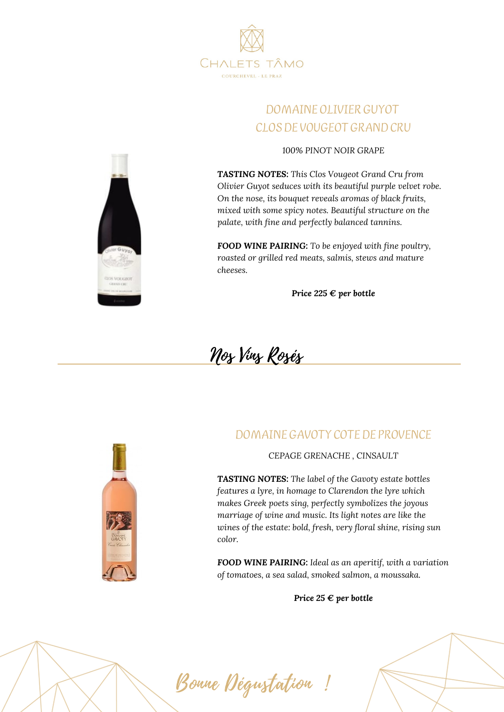

# DOMAINE OLIVIER GUYOT CLOS DE VOUGEOT GRAND CRU

*100% PINOT NOIR GRAPE*

*TASTING NOTES: This Clos Vougeot Grand Cru from Olivier Guyot seduces with its beautiful purple velvet robe. On the nose, its bouquet reveals aromas of black fruits, mixed with some spicy notes. Beautiful structure on the palate, with fine and perfectly balanced tannins.*

*FOOD WINE PAIRING: To be enjoyed with fine poultry, roasted or grilled red meats, salmis, stews and mature cheeses.*

*Price 225 € per bottle*

Nos Vins Rosés

#### DOMAINE GAVOTY COTE DE PROVENCE



#### *CEPAGE GRENACHE , CINSAULT*

*TASTING NOTES: The label of the Gavoty estate bottles features a lyre, in homage to Clarendon the lyre which makes Greek poets sing, perfectly symbolizes the joyous marriage of wine and music. Its light notes are like the wines of the estate: bold, fresh, very floral shine, rising sun color.*

*FOOD WINE PAIRING: Ideal as an aperitif, with a variation of tomatoes, a sea salad, smoked salmon, a moussaka.*

*Price 25 € per bottle*

Bonne Dégustation !